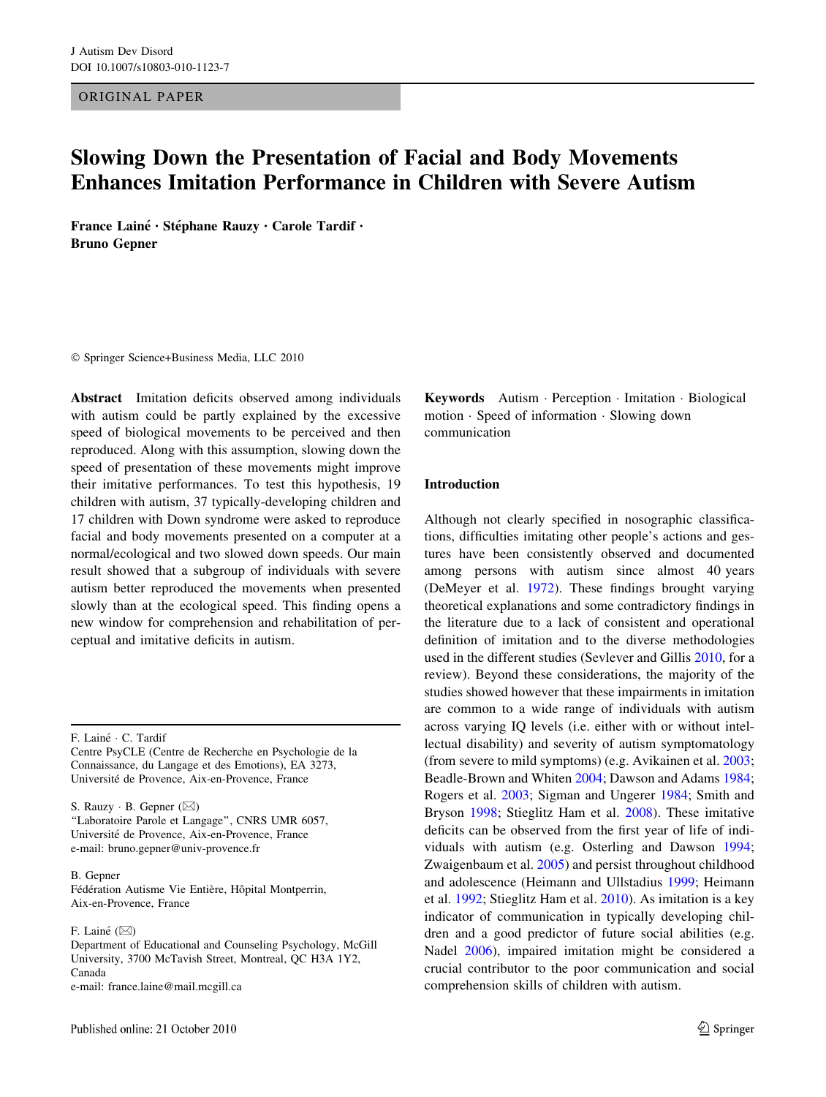ORIGINAL PAPER

# Slowing Down the Presentation of Facial and Body Movements Enhances Imitation Performance in Children with Severe Autism

France Lainé • Stéphane Rauzy • Carole Tardif • Bruno Gepner

- Springer Science+Business Media, LLC 2010

Abstract Imitation deficits observed among individuals with autism could be partly explained by the excessive speed of biological movements to be perceived and then reproduced. Along with this assumption, slowing down the speed of presentation of these movements might improve their imitative performances. To test this hypothesis, 19 children with autism, 37 typically-developing children and 17 children with Down syndrome were asked to reproduce facial and body movements presented on a computer at a normal/ecological and two slowed down speeds. Our main result showed that a subgroup of individuals with severe autism better reproduced the movements when presented slowly than at the ecological speed. This finding opens a new window for comprehension and rehabilitation of perceptual and imitative deficits in autism.

F. Lainé · C. Tardif

Centre PsyCLE (Centre de Recherche en Psychologie de la Connaissance, du Langage et des Emotions), EA 3273, Université de Provence, Aix-en-Provence, France

S. Rauzy  $\cdot$  B. Gepner ( $\boxtimes$ ) ''Laboratoire Parole et Langage'', CNRS UMR 6057, Université de Provence, Aix-en-Provence, France e-mail: bruno.gepner@univ-provence.fr

#### B. Gepner

Fédération Autisme Vie Entière, Hôpital Montperrin, Aix-en-Provence, France

#### F. Lainé  $(\boxtimes)$

Department of Educational and Counseling Psychology, McGill University, 3700 McTavish Street, Montreal, QC H3A 1Y2, Canada e-mail: france.laine@mail.mcgill.ca

Keywords Autism - Perception - Imitation - Biological motion - Speed of information - Slowing down communication

# Introduction

Although not clearly specified in nosographic classifications, difficulties imitating other people's actions and gestures have been consistently observed and documented among persons with autism since almost 40 years (DeMeyer et al. [1972\)](#page-11-0). These findings brought varying theoretical explanations and some contradictory findings in the literature due to a lack of consistent and operational definition of imitation and to the diverse methodologies used in the different studies (Sevlever and Gillis [2010,](#page-13-0) for a review). Beyond these considerations, the majority of the studies showed however that these impairments in imitation are common to a wide range of individuals with autism across varying IQ levels (i.e. either with or without intellectual disability) and severity of autism symptomatology (from severe to mild symptoms) (e.g. Avikainen et al. [2003](#page-11-0); Beadle-Brown and Whiten [2004;](#page-11-0) Dawson and Adams [1984](#page-11-0); Rogers et al. [2003;](#page-12-0) Sigman and Ungerer [1984](#page-13-0); Smith and Bryson [1998;](#page-13-0) Stieglitz Ham et al. [2008\)](#page-13-0). These imitative deficits can be observed from the first year of life of individuals with autism (e.g. Osterling and Dawson [1994](#page-12-0); Zwaigenbaum et al. [2005](#page-13-0)) and persist throughout childhood and adolescence (Heimann and Ullstadius [1999](#page-12-0); Heimann et al. [1992](#page-12-0); Stieglitz Ham et al. [2010](#page-13-0)). As imitation is a key indicator of communication in typically developing children and a good predictor of future social abilities (e.g. Nadel [2006](#page-12-0)), impaired imitation might be considered a crucial contributor to the poor communication and social comprehension skills of children with autism.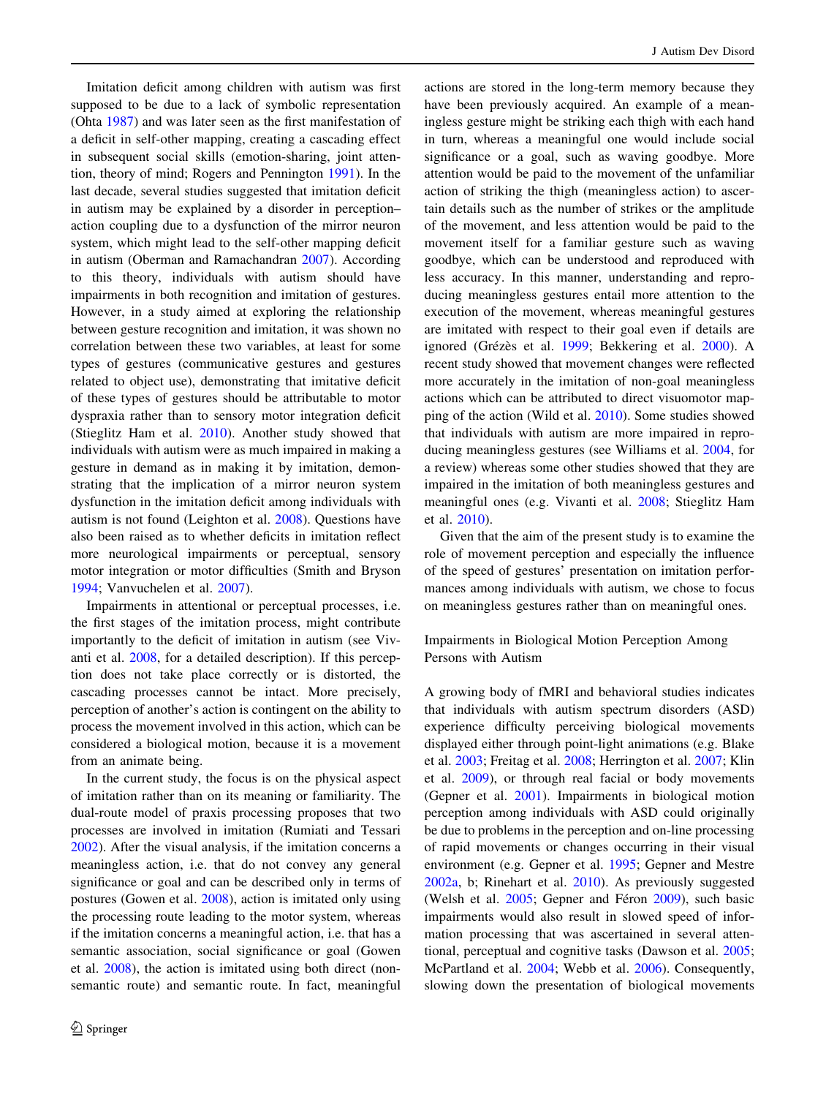Imitation deficit among children with autism was first supposed to be due to a lack of symbolic representation (Ohta [1987](#page-12-0)) and was later seen as the first manifestation of a deficit in self-other mapping, creating a cascading effect in subsequent social skills (emotion-sharing, joint attention, theory of mind; Rogers and Pennington [1991](#page-12-0)). In the last decade, several studies suggested that imitation deficit in autism may be explained by a disorder in perception– action coupling due to a dysfunction of the mirror neuron system, which might lead to the self-other mapping deficit in autism (Oberman and Ramachandran [2007\)](#page-12-0). According to this theory, individuals with autism should have impairments in both recognition and imitation of gestures. However, in a study aimed at exploring the relationship between gesture recognition and imitation, it was shown no correlation between these two variables, at least for some types of gestures (communicative gestures and gestures related to object use), demonstrating that imitative deficit of these types of gestures should be attributable to motor dyspraxia rather than to sensory motor integration deficit (Stieglitz Ham et al. [2010\)](#page-13-0). Another study showed that individuals with autism were as much impaired in making a gesture in demand as in making it by imitation, demonstrating that the implication of a mirror neuron system dysfunction in the imitation deficit among individuals with autism is not found (Leighton et al. [2008](#page-12-0)). Questions have also been raised as to whether deficits in imitation reflect more neurological impairments or perceptual, sensory motor integration or motor difficulties (Smith and Bryson [1994;](#page-13-0) Vanvuchelen et al. [2007\)](#page-13-0).

Impairments in attentional or perceptual processes, i.e. the first stages of the imitation process, might contribute importantly to the deficit of imitation in autism (see Vivanti et al. [2008](#page-13-0), for a detailed description). If this perception does not take place correctly or is distorted, the cascading processes cannot be intact. More precisely, perception of another's action is contingent on the ability to process the movement involved in this action, which can be considered a biological motion, because it is a movement from an animate being.

In the current study, the focus is on the physical aspect of imitation rather than on its meaning or familiarity. The dual-route model of praxis processing proposes that two processes are involved in imitation (Rumiati and Tessari [2002\)](#page-13-0). After the visual analysis, if the imitation concerns a meaningless action, i.e. that do not convey any general significance or goal and can be described only in terms of postures (Gowen et al. [2008](#page-11-0)), action is imitated only using the processing route leading to the motor system, whereas if the imitation concerns a meaningful action, i.e. that has a semantic association, social significance or goal (Gowen et al. [2008](#page-11-0)), the action is imitated using both direct (nonsemantic route) and semantic route. In fact, meaningful

actions are stored in the long-term memory because they have been previously acquired. An example of a meaningless gesture might be striking each thigh with each hand in turn, whereas a meaningful one would include social significance or a goal, such as waving goodbye. More attention would be paid to the movement of the unfamiliar action of striking the thigh (meaningless action) to ascertain details such as the number of strikes or the amplitude of the movement, and less attention would be paid to the movement itself for a familiar gesture such as waving goodbye, which can be understood and reproduced with less accuracy. In this manner, understanding and reproducing meaningless gestures entail more attention to the execution of the movement, whereas meaningful gestures are imitated with respect to their goal even if details are ignored (Grézès et al. [1999;](#page-12-0) Bekkering et al. [2000](#page-11-0)). A recent study showed that movement changes were reflected more accurately in the imitation of non-goal meaningless actions which can be attributed to direct visuomotor mapping of the action (Wild et al. [2010](#page-13-0)). Some studies showed that individuals with autism are more impaired in reproducing meaningless gestures (see Williams et al. [2004](#page-13-0), for a review) whereas some other studies showed that they are impaired in the imitation of both meaningless gestures and meaningful ones (e.g. Vivanti et al. [2008](#page-13-0); Stieglitz Ham et al. [2010\)](#page-13-0).

Given that the aim of the present study is to examine the role of movement perception and especially the influence of the speed of gestures' presentation on imitation performances among individuals with autism, we chose to focus on meaningless gestures rather than on meaningful ones.

Impairments in Biological Motion Perception Among Persons with Autism

A growing body of fMRI and behavioral studies indicates that individuals with autism spectrum disorders (ASD) experience difficulty perceiving biological movements displayed either through point-light animations (e.g. Blake et al. [2003](#page-11-0); Freitag et al. [2008;](#page-11-0) Herrington et al. [2007](#page-12-0); Klin et al. [2009\)](#page-12-0), or through real facial or body movements (Gepner et al. [2001](#page-11-0)). Impairments in biological motion perception among individuals with ASD could originally be due to problems in the perception and on-line processing of rapid movements or changes occurring in their visual environment (e.g. Gepner et al. [1995;](#page-11-0) Gepner and Mestre [2002a,](#page-11-0) b; Rinehart et al. [2010](#page-12-0)). As previously suggested (Welsh et al.  $2005$ ; Gepner and Féron [2009](#page-11-0)), such basic impairments would also result in slowed speed of information processing that was ascertained in several attentional, perceptual and cognitive tasks (Dawson et al. [2005](#page-11-0); McPartland et al. [2004](#page-12-0); Webb et al. [2006\)](#page-13-0). Consequently, slowing down the presentation of biological movements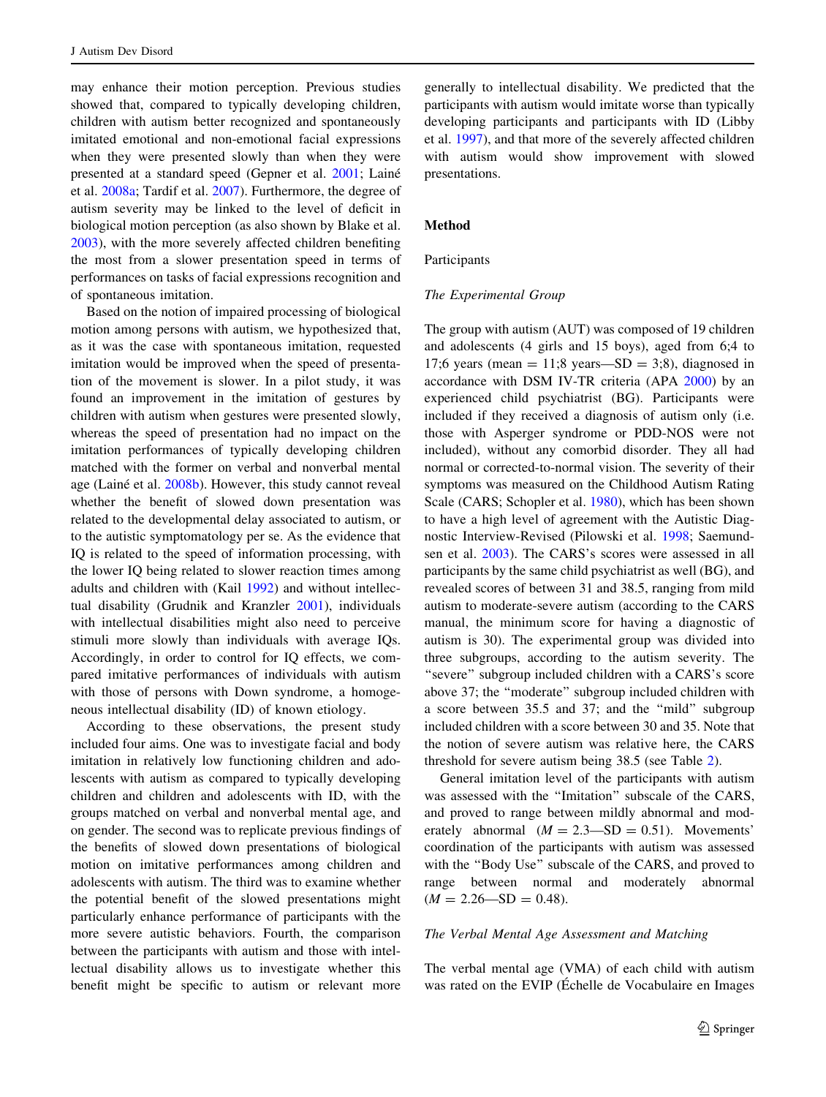may enhance their motion perception. Previous studies showed that, compared to typically developing children, children with autism better recognized and spontaneously imitated emotional and non-emotional facial expressions when they were presented slowly than when they were presented at a standard speed (Gepner et al. [2001](#page-11-0); Lainé et al. [2008a;](#page-12-0) Tardif et al. [2007](#page-13-0)). Furthermore, the degree of autism severity may be linked to the level of deficit in biological motion perception (as also shown by Blake et al. [2003\)](#page-11-0), with the more severely affected children benefiting the most from a slower presentation speed in terms of performances on tasks of facial expressions recognition and of spontaneous imitation.

Based on the notion of impaired processing of biological motion among persons with autism, we hypothesized that, as it was the case with spontaneous imitation, requested imitation would be improved when the speed of presentation of the movement is slower. In a pilot study, it was found an improvement in the imitation of gestures by children with autism when gestures were presented slowly, whereas the speed of presentation had no impact on the imitation performances of typically developing children matched with the former on verbal and nonverbal mental age (Lainé et al. [2008b\)](#page-12-0). However, this study cannot reveal whether the benefit of slowed down presentation was related to the developmental delay associated to autism, or to the autistic symptomatology per se. As the evidence that IQ is related to the speed of information processing, with the lower IQ being related to slower reaction times among adults and children with (Kail [1992\)](#page-12-0) and without intellectual disability (Grudnik and Kranzler [2001\)](#page-12-0), individuals with intellectual disabilities might also need to perceive stimuli more slowly than individuals with average IQs. Accordingly, in order to control for IQ effects, we compared imitative performances of individuals with autism with those of persons with Down syndrome, a homogeneous intellectual disability (ID) of known etiology.

According to these observations, the present study included four aims. One was to investigate facial and body imitation in relatively low functioning children and adolescents with autism as compared to typically developing children and children and adolescents with ID, with the groups matched on verbal and nonverbal mental age, and on gender. The second was to replicate previous findings of the benefits of slowed down presentations of biological motion on imitative performances among children and adolescents with autism. The third was to examine whether the potential benefit of the slowed presentations might particularly enhance performance of participants with the more severe autistic behaviors. Fourth, the comparison between the participants with autism and those with intellectual disability allows us to investigate whether this benefit might be specific to autism or relevant more generally to intellectual disability. We predicted that the participants with autism would imitate worse than typically developing participants and participants with ID (Libby et al. [1997](#page-12-0)), and that more of the severely affected children with autism would show improvement with slowed presentations.

# Method

## Participants

## The Experimental Group

The group with autism (AUT) was composed of 19 children and adolescents (4 girls and 15 boys), aged from 6;4 to 17;6 years (mean  $= 11;8$  years—SD  $= 3;8$ ), diagnosed in accordance with DSM IV-TR criteria (APA [2000](#page-11-0)) by an experienced child psychiatrist (BG). Participants were included if they received a diagnosis of autism only (i.e. those with Asperger syndrome or PDD-NOS were not included), without any comorbid disorder. They all had normal or corrected-to-normal vision. The severity of their symptoms was measured on the Childhood Autism Rating Scale (CARS; Schopler et al. [1980](#page-13-0)), which has been shown to have a high level of agreement with the Autistic Diagnostic Interview-Revised (Pilowski et al. [1998](#page-12-0); Saemundsen et al. [2003\)](#page-13-0). The CARS's scores were assessed in all participants by the same child psychiatrist as well (BG), and revealed scores of between 31 and 38.5, ranging from mild autism to moderate-severe autism (according to the CARS manual, the minimum score for having a diagnostic of autism is 30). The experimental group was divided into three subgroups, according to the autism severity. The ''severe'' subgroup included children with a CARS's score above 37; the ''moderate'' subgroup included children with a score between 35.5 and 37; and the ''mild'' subgroup included children with a score between 30 and 35. Note that the notion of severe autism was relative here, the CARS threshold for severe autism being 38.5 (see Table [2](#page-4-0)).

General imitation level of the participants with autism was assessed with the ''Imitation'' subscale of the CARS, and proved to range between mildly abnormal and moderately abnormal  $(M = 2.3 - SD = 0.51)$ . Movements' coordination of the participants with autism was assessed with the "Body Use" subscale of the CARS, and proved to range between normal and moderately abnormal  $(M = 2.26 - SD = 0.48).$ 

# The Verbal Mental Age Assessment and Matching

The verbal mental age (VMA) of each child with autism was rated on the EVIP (Échelle de Vocabulaire en Images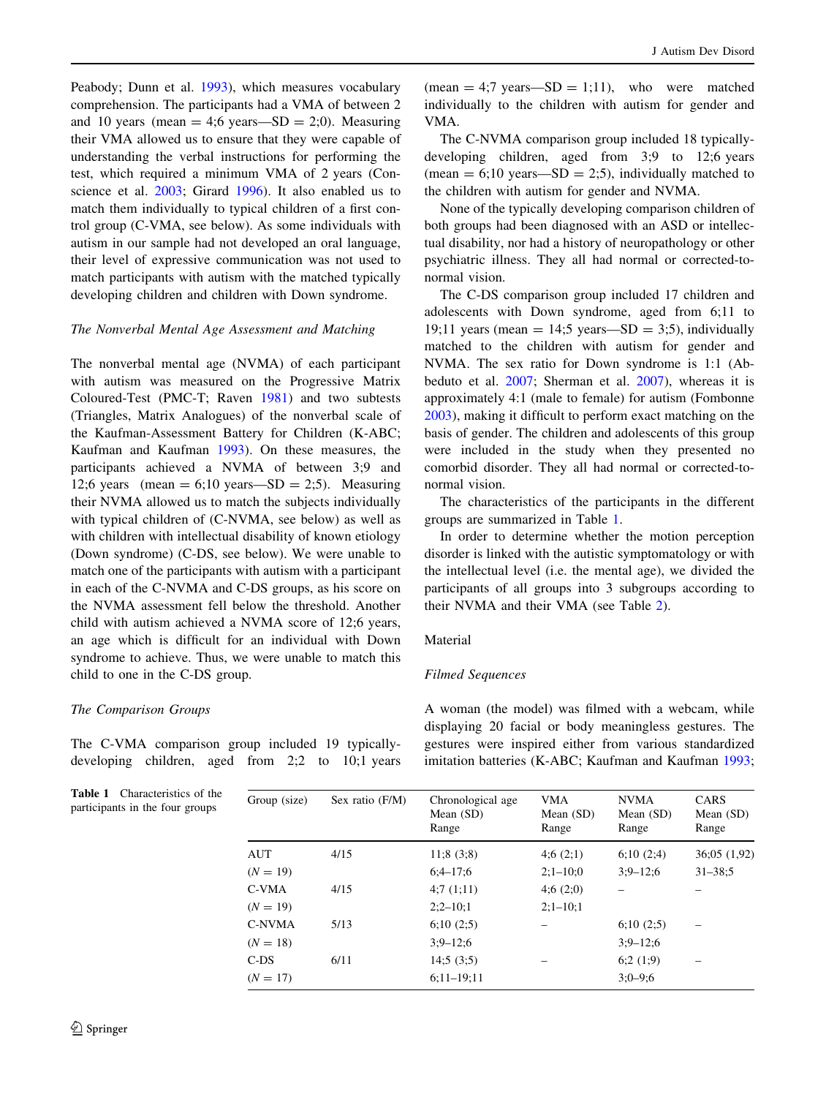Peabody; Dunn et al. [1993](#page-11-0)), which measures vocabulary comprehension. The participants had a VMA of between 2 and 10 years (mean  $= 4;6$  years—SD  $= 2;0$ ). Measuring their VMA allowed us to ensure that they were capable of understanding the verbal instructions for performing the test, which required a minimum VMA of 2 years (Conscience et al. [2003;](#page-11-0) Girard [1996\)](#page-11-0). It also enabled us to match them individually to typical children of a first control group (C-VMA, see below). As some individuals with autism in our sample had not developed an oral language, their level of expressive communication was not used to match participants with autism with the matched typically developing children and children with Down syndrome.

#### The Nonverbal Mental Age Assessment and Matching

The nonverbal mental age (NVMA) of each participant with autism was measured on the Progressive Matrix Coloured-Test (PMC-T; Raven [1981\)](#page-12-0) and two subtests (Triangles, Matrix Analogues) of the nonverbal scale of the Kaufman-Assessment Battery for Children (K-ABC; Kaufman and Kaufman [1993](#page-12-0)). On these measures, the participants achieved a NVMA of between 3;9 and 12;6 years (mean  $= 6;10$  years—SD  $= 2;5$ ). Measuring their NVMA allowed us to match the subjects individually with typical children of (C-NVMA, see below) as well as with children with intellectual disability of known etiology (Down syndrome) (C-DS, see below). We were unable to match one of the participants with autism with a participant in each of the C-NVMA and C-DS groups, as his score on the NVMA assessment fell below the threshold. Another child with autism achieved a NVMA score of 12;6 years, an age which is difficult for an individual with Down syndrome to achieve. Thus, we were unable to match this child to one in the C-DS group.

# The Comparison Groups

The C-VMA comparison group included 19 typicallydeveloping children, aged from 2;2 to 10;1 years A woman (the model) was filmed with a webcam, while displaying 20 facial or body meaningless gestures. The gestures were inspired either from various standardized imitation batteries (K-ABC; Kaufman and Kaufman [1993](#page-12-0);

| Group (size)  | Sex ratio (F/M) | Chronological age<br>Mean $(SD)$<br>Range | <b>VMA</b><br>Mean $(SD)$<br>Range | <b>NVMA</b><br>Mean $(SD)$<br>Range | CARS<br>Mean $(SD)$<br>Range |
|---------------|-----------------|-------------------------------------------|------------------------------------|-------------------------------------|------------------------------|
| AUT           | 4/15            | 11;8(3;8)                                 | 4;6(2;1)                           | 6;10(2;4)                           | 36;05 (1,92)                 |
| $(N = 19)$    |                 | $6:4-17:6$                                | $2:1-10:0$                         | $3:9 - 12:6$                        | $31 - 38:5$                  |
| C-VMA         | 4/15            | 4;7(1;11)                                 | 4;6(2;0)                           |                                     |                              |
| $(N = 19)$    |                 | $2;2 - 10;1$                              | $2:1-10:1$                         |                                     |                              |
| <b>C-NVMA</b> | 5/13            | 6;10(2;5)                                 |                                    | 6;10(2;5)                           |                              |
| $(N = 18)$    |                 | $3:9 - 12:6$                              |                                    | $3:9 - 12:6$                        |                              |
| $C$ - $DS$    | 6/11            | 14;5(3;5)                                 |                                    | 6;2(1;9)                            |                              |
| $(N = 17)$    |                 | $6:11-19:11$                              |                                    | $3:0-9:6$                           |                              |

The C-NVMA comparison group included 18 typicallydeveloping children, aged from 3;9 to 12;6 years (mean  $= 6;10$  years—SD  $= 2;5$ ), individually matched to the children with autism for gender and NVMA.

None of the typically developing comparison children of both groups had been diagnosed with an ASD or intellectual disability, nor had a history of neuropathology or other psychiatric illness. They all had normal or corrected-tonormal vision.

The C-DS comparison group included 17 children and adolescents with Down syndrome, aged from 6;11 to 19;11 years (mean  $= 14$ ;5 years—SD  $= 3$ ;5), individually matched to the children with autism for gender and NVMA. The sex ratio for Down syndrome is 1:1 (Abbeduto et al. [2007;](#page-11-0) Sherman et al. [2007](#page-13-0)), whereas it is approximately 4:1 (male to female) for autism (Fombonne [2003](#page-11-0)), making it difficult to perform exact matching on the basis of gender. The children and adolescents of this group were included in the study when they presented no comorbid disorder. They all had normal or corrected-tonormal vision.

The characteristics of the participants in the different groups are summarized in Table 1.

In order to determine whether the motion perception disorder is linked with the autistic symptomatology or with the intellectual level (i.e. the mental age), we divided the participants of all groups into 3 subgroups according to their NVMA and their VMA (see Table [2](#page-4-0)).

#### Material

#### Filmed Sequences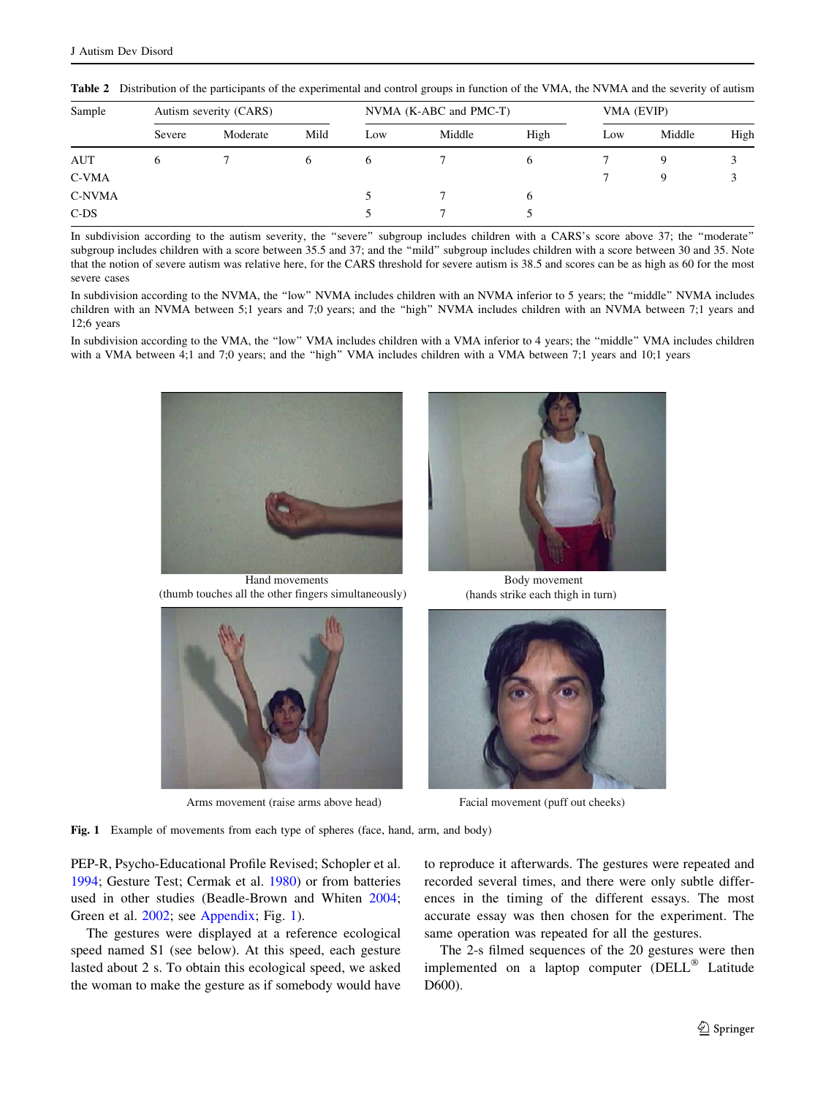| Sample  | Autism severity (CARS) |          |      | NVMA (K-ABC and PMC-T) |        |              | VMA (EVIP) |        |      |
|---------|------------------------|----------|------|------------------------|--------|--------------|------------|--------|------|
|         | Severe                 | Moderate | Mild | Low                    | Middle | High         | Low        | Middle | High |
| AUT     |                        |          | 6    | 6                      |        | <sub>(</sub> |            | Q      |      |
| C-VMA   |                        |          |      |                        |        |              |            | Q      |      |
| C-NVMA  |                        |          |      |                        |        | 6            |            |        |      |
| $C$ -DS |                        |          |      |                        |        |              |            |        |      |

<span id="page-4-0"></span>Table 2 Distribution of the participants of the experimental and control groups in function of the VMA, the NVMA and the severity of autism

In subdivision according to the autism severity, the ''severe'' subgroup includes children with a CARS's score above 37; the ''moderate'' subgroup includes children with a score between 35.5 and 37; and the ''mild'' subgroup includes children with a score between 30 and 35. Note that the notion of severe autism was relative here, for the CARS threshold for severe autism is 38.5 and scores can be as high as 60 for the most severe cases

In subdivision according to the NVMA, the "low" NVMA includes children with an NVMA inferior to 5 years; the "middle" NVMA includes children with an NVMA between 5;1 years and 7;0 years; and the ''high'' NVMA includes children with an NVMA between 7;1 years and 12;6 years

In subdivision according to the VMA, the ''low'' VMA includes children with a VMA inferior to 4 years; the ''middle'' VMA includes children with a VMA between 4;1 and 7;0 years; and the "high" VMA includes children with a VMA between 7;1 years and 10;1 years



Hand movements (thumb touches all the other fingers simultaneously)





Body movement (hands strike each thigh in turn)



Arms movement (raise arms above head) Facial movement (puff out cheeks)

Fig. 1 Example of movements from each type of spheres (face, hand, arm, and body)

PEP-R, Psycho-Educational Profile Revised; Schopler et al. [1994;](#page-13-0) Gesture Test; Cermak et al. [1980\)](#page-11-0) or from batteries used in other studies (Beadle-Brown and Whiten [2004](#page-11-0); Green et al. [2002](#page-11-0); see [Appendix](#page-10-0); Fig. 1).

The gestures were displayed at a reference ecological speed named S1 (see below). At this speed, each gesture lasted about 2 s. To obtain this ecological speed, we asked the woman to make the gesture as if somebody would have to reproduce it afterwards. The gestures were repeated and recorded several times, and there were only subtle differences in the timing of the different essays. The most accurate essay was then chosen for the experiment. The same operation was repeated for all the gestures.

The 2-s filmed sequences of the 20 gestures were then implemented on a laptop computer  $(DELL<sup>®</sup>$  Latitude D600).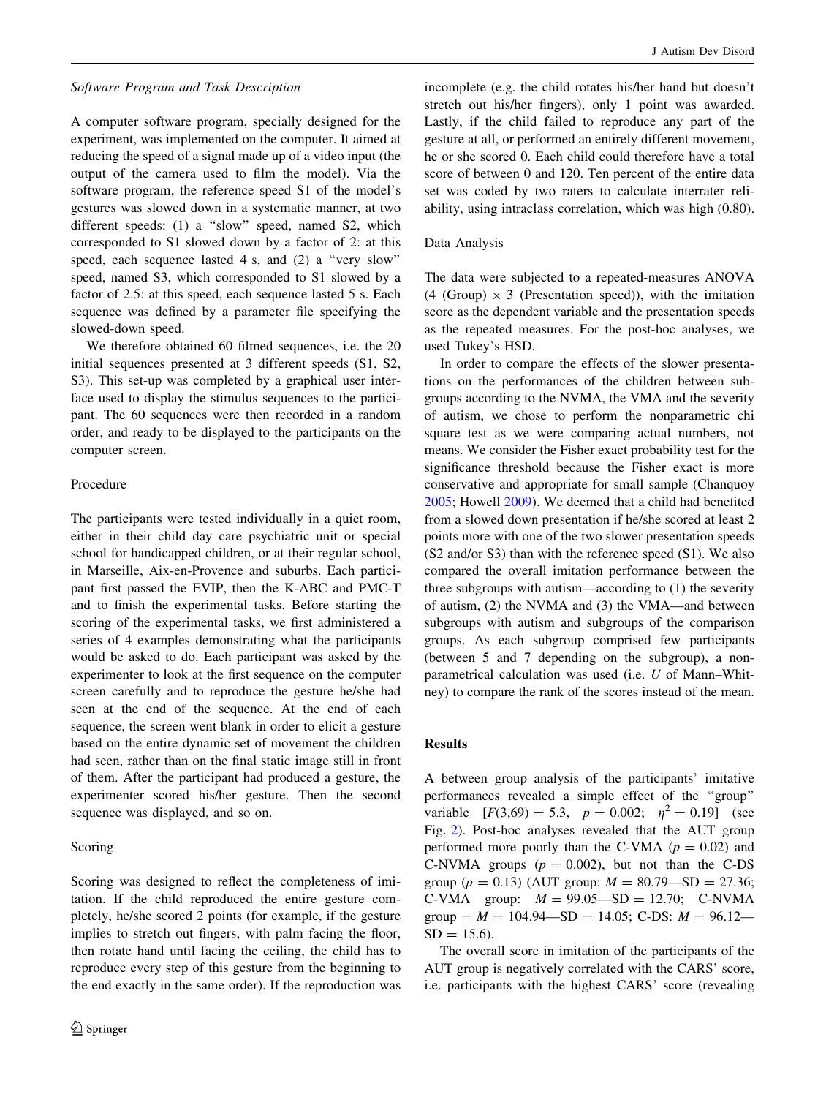A computer software program, specially designed for the experiment, was implemented on the computer. It aimed at reducing the speed of a signal made up of a video input (the output of the camera used to film the model). Via the software program, the reference speed S1 of the model's gestures was slowed down in a systematic manner, at two different speeds: (1) a "slow" speed, named S2, which corresponded to S1 slowed down by a factor of 2: at this speed, each sequence lasted 4 s, and (2) a ''very slow'' speed, named S3, which corresponded to S1 slowed by a factor of 2.5: at this speed, each sequence lasted 5 s. Each sequence was defined by a parameter file specifying the slowed-down speed.

We therefore obtained 60 filmed sequences, i.e. the 20 initial sequences presented at 3 different speeds (S1, S2, S3). This set-up was completed by a graphical user interface used to display the stimulus sequences to the participant. The 60 sequences were then recorded in a random order, and ready to be displayed to the participants on the computer screen.

# Procedure

The participants were tested individually in a quiet room, either in their child day care psychiatric unit or special school for handicapped children, or at their regular school, in Marseille, Aix-en-Provence and suburbs. Each participant first passed the EVIP, then the K-ABC and PMC-T and to finish the experimental tasks. Before starting the scoring of the experimental tasks, we first administered a series of 4 examples demonstrating what the participants would be asked to do. Each participant was asked by the experimenter to look at the first sequence on the computer screen carefully and to reproduce the gesture he/she had seen at the end of the sequence. At the end of each sequence, the screen went blank in order to elicit a gesture based on the entire dynamic set of movement the children had seen, rather than on the final static image still in front of them. After the participant had produced a gesture, the experimenter scored his/her gesture. Then the second sequence was displayed, and so on.

# Scoring

Scoring was designed to reflect the completeness of imitation. If the child reproduced the entire gesture completely, he/she scored 2 points (for example, if the gesture implies to stretch out fingers, with palm facing the floor, then rotate hand until facing the ceiling, the child has to reproduce every step of this gesture from the beginning to the end exactly in the same order). If the reproduction was incomplete (e.g. the child rotates his/her hand but doesn't stretch out his/her fingers), only 1 point was awarded. Lastly, if the child failed to reproduce any part of the gesture at all, or performed an entirely different movement, he or she scored 0. Each child could therefore have a total score of between 0 and 120. Ten percent of the entire data set was coded by two raters to calculate interrater reliability, using intraclass correlation, which was high (0.80).

#### Data Analysis

The data were subjected to a repeated-measures ANOVA (4 (Group)  $\times$  3 (Presentation speed)), with the imitation score as the dependent variable and the presentation speeds as the repeated measures. For the post-hoc analyses, we used Tukey's HSD.

In order to compare the effects of the slower presentations on the performances of the children between subgroups according to the NVMA, the VMA and the severity of autism, we chose to perform the nonparametric chi square test as we were comparing actual numbers, not means. We consider the Fisher exact probability test for the significance threshold because the Fisher exact is more conservative and appropriate for small sample (Chanquoy [2005](#page-11-0); Howell [2009\)](#page-12-0). We deemed that a child had benefited from a slowed down presentation if he/she scored at least 2 points more with one of the two slower presentation speeds (S2 and/or S3) than with the reference speed (S1). We also compared the overall imitation performance between the three subgroups with autism—according to (1) the severity of autism, (2) the NVMA and (3) the VMA—and between subgroups with autism and subgroups of the comparison groups. As each subgroup comprised few participants (between 5 and 7 depending on the subgroup), a nonparametrical calculation was used (i.e. U of Mann–Whitney) to compare the rank of the scores instead of the mean.

## Results

A between group analysis of the participants' imitative performances revealed a simple effect of the ''group'' variable  $[F(3,69) = 5.3, p = 0.002; \eta^2 = 0.19]$  (see Fig. [2](#page-6-0)). Post-hoc analyses revealed that the AUT group performed more poorly than the C-VMA ( $p = 0.02$ ) and C-NVMA groups  $(p = 0.002)$ , but not than the C-DS group ( $p = 0.13$ ) (AUT group:  $M = 80.79 - SD = 27.36$ ; C-VMA group:  $M = 99.05 - SD = 12.70$ ; C-NVMA group =  $M = 104.94 - SD = 14.05$ ; C-DS:  $M = 96.12 SD = 15.6$ .

The overall score in imitation of the participants of the AUT group is negatively correlated with the CARS' score, i.e. participants with the highest CARS' score (revealing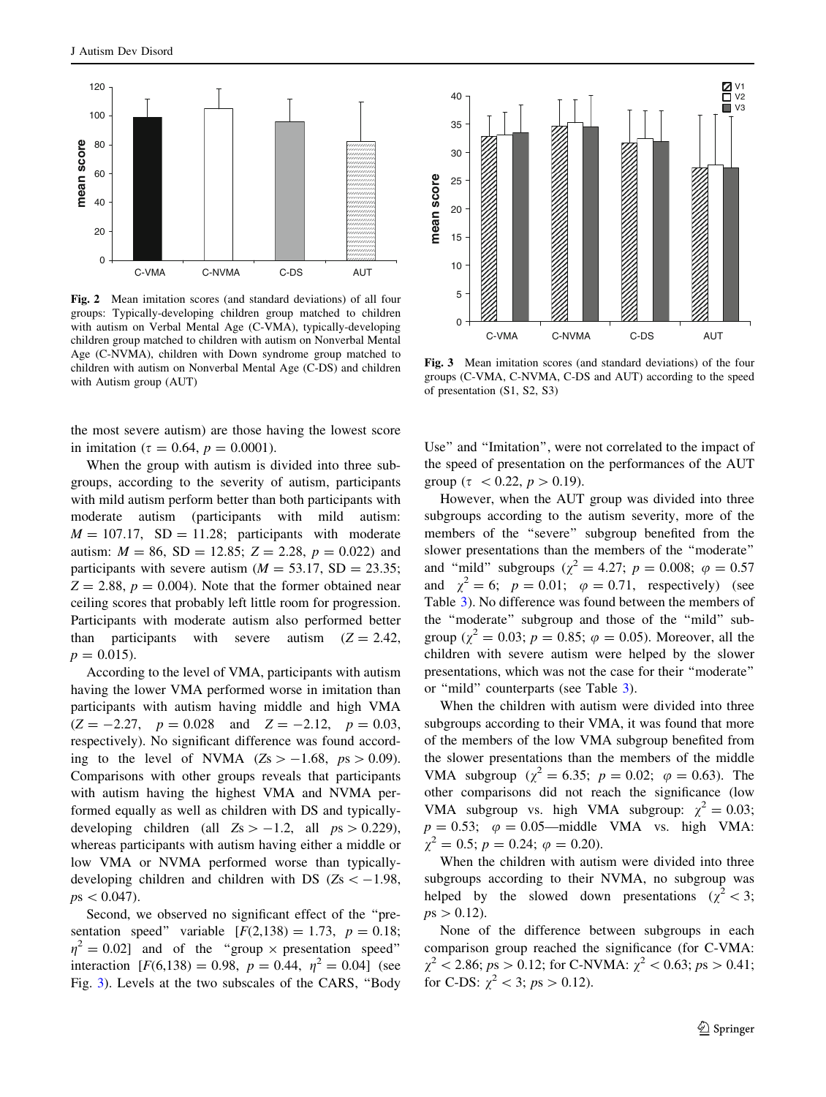<span id="page-6-0"></span>

Fig. 2 Mean imitation scores (and standard deviations) of all four groups: Typically-developing children group matched to children with autism on Verbal Mental Age (C-VMA), typically-developing children group matched to children with autism on Nonverbal Mental Age (C-NVMA), children with Down syndrome group matched to children with autism on Nonverbal Mental Age (C-DS) and children with Autism group (AUT)

the most severe autism) are those having the lowest score in imitation ( $\tau = 0.64$ ,  $p = 0.0001$ ).

When the group with autism is divided into three subgroups, according to the severity of autism, participants with mild autism perform better than both participants with moderate autism (participants with mild autism:  $M = 107.17$ , SD = 11.28; participants with moderate autism:  $M = 86$ , SD = 12.85; Z = 2.28,  $p = 0.022$ ) and participants with severe autism ( $M = 53.17$ , SD = 23.35;  $Z = 2.88$ ,  $p = 0.004$ ). Note that the former obtained near ceiling scores that probably left little room for progression. Participants with moderate autism also performed better than participants with severe autism  $(Z = 2.42)$ ,  $p = 0.015$ .

According to the level of VMA, participants with autism having the lower VMA performed worse in imitation than participants with autism having middle and high VMA  $(Z = -2.27, p = 0.028 \text{ and } Z = -2.12, p = 0.03,$ respectively). No significant difference was found according to the level of NVMA  $(Zs > -1.68, ps > 0.09)$ . Comparisons with other groups reveals that participants with autism having the highest VMA and NVMA performed equally as well as children with DS and typicallydeveloping children (all  $Z_s > -1.2$ , all  $ps > 0.229$ ), whereas participants with autism having either a middle or low VMA or NVMA performed worse than typicallydeveloping children and children with DS ( $Z_s < -1.98$ ,  $ps < 0.047$ .

Second, we observed no significant effect of the ''presentation speed" variable  $[F(2,138) = 1.73, p = 0.18;$  $\eta^2 = 0.02$ ] and of the "group  $\times$  presentation speed" interaction  $[F(6,138) = 0.98, p = 0.44, \eta^2 = 0.04]$  (see Fig. 3). Levels at the two subscales of the CARS, ''Body



Fig. 3 Mean imitation scores (and standard deviations) of the four groups (C-VMA, C-NVMA, C-DS and AUT) according to the speed of presentation (S1, S2, S3)

Use'' and ''Imitation'', were not correlated to the impact of the speed of presentation on the performances of the AUT group ( $\tau \langle 0.22, p \rangle 0.19$ ).

However, when the AUT group was divided into three subgroups according to the autism severity, more of the members of the ''severe'' subgroup benefited from the slower presentations than the members of the ''moderate'' and "mild" subgroups ( $\chi^2 = 4.27$ ;  $p = 0.008$ ;  $\varphi = 0.57$ and  $\chi^2 = 6$ ;  $p = 0.01$ ;  $\varphi = 0.71$ , respectively) (see Table [3](#page-7-0)). No difference was found between the members of the "moderate" subgroup and those of the "mild" subgroup ( $\chi^2 = 0.03$ ;  $p = 0.85$ ;  $\varphi = 0.05$ ). Moreover, all the children with severe autism were helped by the slower presentations, which was not the case for their ''moderate'' or ''mild'' counterparts (see Table [3\)](#page-7-0).

When the children with autism were divided into three subgroups according to their VMA, it was found that more of the members of the low VMA subgroup benefited from the slower presentations than the members of the middle VMA subgroup ( $\chi^2 = 6.35$ ;  $p = 0.02$ ;  $\varphi = 0.63$ ). The other comparisons did not reach the significance (low VMA subgroup vs. high VMA subgroup:  $\chi^2 = 0.03$ ;  $p = 0.53$ ;  $\varphi = 0.05$ —middle VMA vs. high VMA:  $\chi^2 = 0.5$ ;  $p = 0.24$ ;  $\varphi = 0.20$ ).

When the children with autism were divided into three subgroups according to their NVMA, no subgroup was helped by the slowed down presentations ( $\chi^2$  < 3;  $ps > 0.12$ ).

None of the difference between subgroups in each comparison group reached the significance (for C-VMA:  $\chi^2$  < 2.86; ps > 0.12; for C-NVMA:  $\chi^2$  < 0.63; ps > 0.41; for C-DS:  $\chi^2$  < 3; ps > 0.12).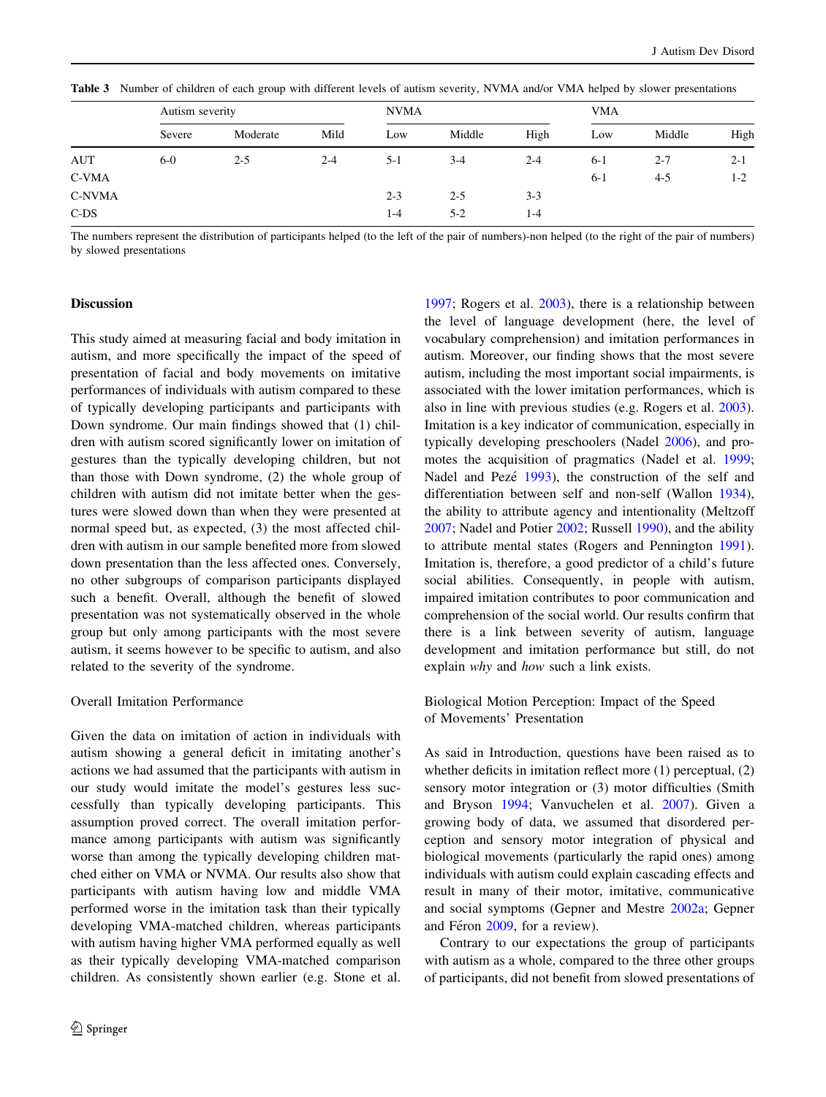|            | Autism severity |          |         | <b>NVMA</b> |         |         | <b>VMA</b> |         |         |
|------------|-----------------|----------|---------|-------------|---------|---------|------------|---------|---------|
|            | Severe          | Moderate | Mild    | Low         | Middle  | High    | Low        | Middle  | High    |
| AUT        | $6-0$           | $2 - 5$  | $2 - 4$ | $5-1$       | $3 - 4$ | $2 - 4$ | $6-1$      | $2 - 7$ | $2 - 1$ |
| C-VMA      |                 |          |         |             |         |         | $6 - 1$    | $4 - 5$ | $1 - 2$ |
| C-NVMA     |                 |          |         | $2 - 3$     | $2 - 5$ | $3 - 3$ |            |         |         |
| $C$ - $DS$ |                 |          |         | $1-4$       | $5-2$   | $1 - 4$ |            |         |         |

<span id="page-7-0"></span>Table 3 Number of children of each group with different levels of autism severity, NVMA and/or VMA helped by slower presentations

The numbers represent the distribution of participants helped (to the left of the pair of numbers)-non helped (to the right of the pair of numbers) by slowed presentations

# **Discussion**

This study aimed at measuring facial and body imitation in autism, and more specifically the impact of the speed of presentation of facial and body movements on imitative performances of individuals with autism compared to these of typically developing participants and participants with Down syndrome. Our main findings showed that (1) children with autism scored significantly lower on imitation of gestures than the typically developing children, but not than those with Down syndrome, (2) the whole group of children with autism did not imitate better when the gestures were slowed down than when they were presented at normal speed but, as expected, (3) the most affected children with autism in our sample benefited more from slowed down presentation than the less affected ones. Conversely, no other subgroups of comparison participants displayed such a benefit. Overall, although the benefit of slowed presentation was not systematically observed in the whole group but only among participants with the most severe autism, it seems however to be specific to autism, and also related to the severity of the syndrome.

## Overall Imitation Performance

Given the data on imitation of action in individuals with autism showing a general deficit in imitating another's actions we had assumed that the participants with autism in our study would imitate the model's gestures less successfully than typically developing participants. This assumption proved correct. The overall imitation performance among participants with autism was significantly worse than among the typically developing children matched either on VMA or NVMA. Our results also show that participants with autism having low and middle VMA performed worse in the imitation task than their typically developing VMA-matched children, whereas participants with autism having higher VMA performed equally as well as their typically developing VMA-matched comparison children. As consistently shown earlier (e.g. Stone et al.

[1997](#page-13-0); Rogers et al. [2003\)](#page-12-0), there is a relationship between the level of language development (here, the level of vocabulary comprehension) and imitation performances in autism. Moreover, our finding shows that the most severe autism, including the most important social impairments, is associated with the lower imitation performances, which is also in line with previous studies (e.g. Rogers et al. [2003](#page-12-0)). Imitation is a key indicator of communication, especially in typically developing preschoolers (Nadel [2006](#page-12-0)), and promotes the acquisition of pragmatics (Nadel et al. [1999](#page-12-0); Nadel and Pezé [1993\)](#page-12-0), the construction of the self and differentiation between self and non-self (Wallon [1934](#page-13-0)), the ability to attribute agency and intentionality (Meltzoff [2007](#page-12-0); Nadel and Potier [2002](#page-12-0); Russell [1990](#page-13-0)), and the ability to attribute mental states (Rogers and Pennington [1991](#page-12-0)). Imitation is, therefore, a good predictor of a child's future social abilities. Consequently, in people with autism, impaired imitation contributes to poor communication and comprehension of the social world. Our results confirm that there is a link between severity of autism, language development and imitation performance but still, do not explain why and how such a link exists.

Biological Motion Perception: Impact of the Speed of Movements' Presentation

As said in Introduction, questions have been raised as to whether deficits in imitation reflect more (1) perceptual, (2) sensory motor integration or (3) motor difficulties (Smith and Bryson [1994](#page-13-0); Vanvuchelen et al. [2007\)](#page-13-0). Given a growing body of data, we assumed that disordered perception and sensory motor integration of physical and biological movements (particularly the rapid ones) among individuals with autism could explain cascading effects and result in many of their motor, imitative, communicative and social symptoms (Gepner and Mestre [2002a](#page-11-0); Gepner and Féron [2009](#page-11-0), for a review).

Contrary to our expectations the group of participants with autism as a whole, compared to the three other groups of participants, did not benefit from slowed presentations of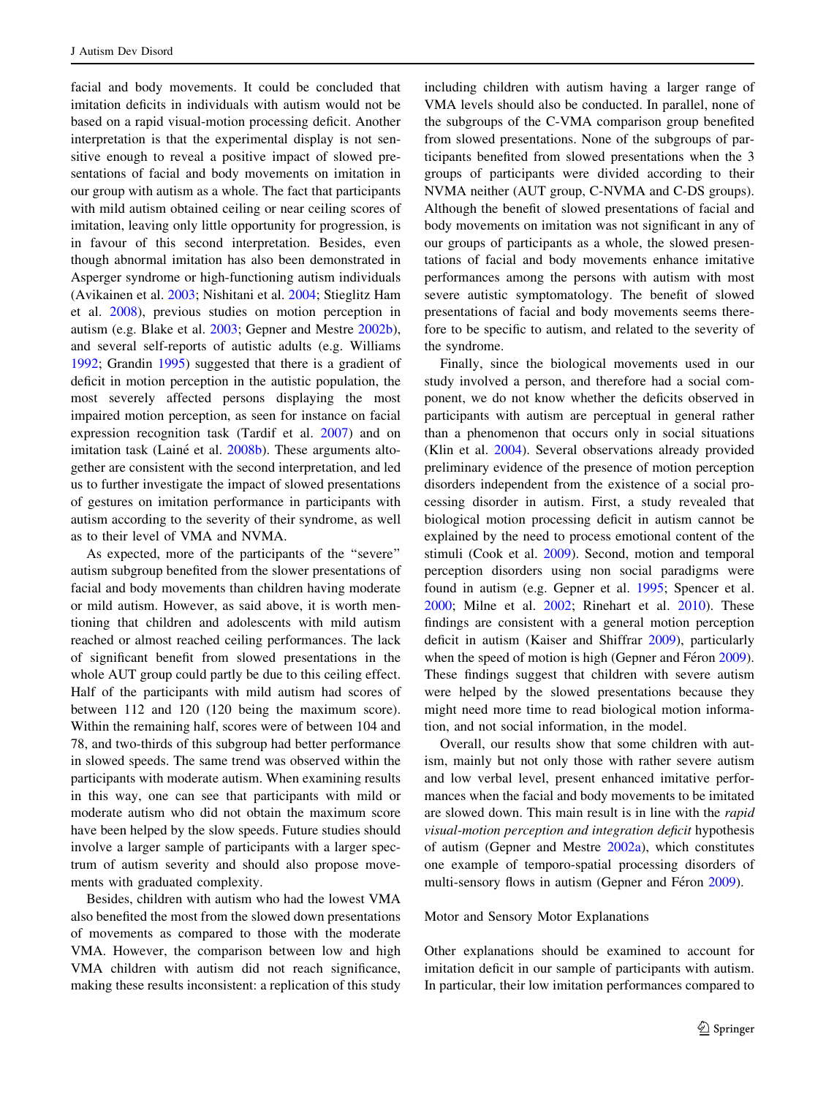facial and body movements. It could be concluded that imitation deficits in individuals with autism would not be based on a rapid visual-motion processing deficit. Another interpretation is that the experimental display is not sensitive enough to reveal a positive impact of slowed presentations of facial and body movements on imitation in our group with autism as a whole. The fact that participants with mild autism obtained ceiling or near ceiling scores of imitation, leaving only little opportunity for progression, is in favour of this second interpretation. Besides, even though abnormal imitation has also been demonstrated in Asperger syndrome or high-functioning autism individuals (Avikainen et al. [2003;](#page-11-0) Nishitani et al. [2004](#page-12-0); Stieglitz Ham et al. [2008](#page-13-0)), previous studies on motion perception in autism (e.g. Blake et al. [2003](#page-11-0); Gepner and Mestre [2002b](#page-11-0)), and several self-reports of autistic adults (e.g. Williams [1992;](#page-13-0) Grandin [1995\)](#page-11-0) suggested that there is a gradient of deficit in motion perception in the autistic population, the most severely affected persons displaying the most impaired motion perception, as seen for instance on facial expression recognition task (Tardif et al. [2007](#page-13-0)) and on imitation task (Lainé et al. [2008b\)](#page-12-0). These arguments altogether are consistent with the second interpretation, and led us to further investigate the impact of slowed presentations of gestures on imitation performance in participants with autism according to the severity of their syndrome, as well as to their level of VMA and NVMA.

As expected, more of the participants of the ''severe'' autism subgroup benefited from the slower presentations of facial and body movements than children having moderate or mild autism. However, as said above, it is worth mentioning that children and adolescents with mild autism reached or almost reached ceiling performances. The lack of significant benefit from slowed presentations in the whole AUT group could partly be due to this ceiling effect. Half of the participants with mild autism had scores of between 112 and 120 (120 being the maximum score). Within the remaining half, scores were of between 104 and 78, and two-thirds of this subgroup had better performance in slowed speeds. The same trend was observed within the participants with moderate autism. When examining results in this way, one can see that participants with mild or moderate autism who did not obtain the maximum score have been helped by the slow speeds. Future studies should involve a larger sample of participants with a larger spectrum of autism severity and should also propose movements with graduated complexity.

Besides, children with autism who had the lowest VMA also benefited the most from the slowed down presentations of movements as compared to those with the moderate VMA. However, the comparison between low and high VMA children with autism did not reach significance, making these results inconsistent: a replication of this study including children with autism having a larger range of VMA levels should also be conducted. In parallel, none of the subgroups of the C-VMA comparison group benefited from slowed presentations. None of the subgroups of participants benefited from slowed presentations when the 3 groups of participants were divided according to their NVMA neither (AUT group, C-NVMA and C-DS groups). Although the benefit of slowed presentations of facial and body movements on imitation was not significant in any of our groups of participants as a whole, the slowed presentations of facial and body movements enhance imitative performances among the persons with autism with most severe autistic symptomatology. The benefit of slowed presentations of facial and body movements seems therefore to be specific to autism, and related to the severity of the syndrome.

Finally, since the biological movements used in our study involved a person, and therefore had a social component, we do not know whether the deficits observed in participants with autism are perceptual in general rather than a phenomenon that occurs only in social situations (Klin et al. [2004](#page-12-0)). Several observations already provided preliminary evidence of the presence of motion perception disorders independent from the existence of a social processing disorder in autism. First, a study revealed that biological motion processing deficit in autism cannot be explained by the need to process emotional content of the stimuli (Cook et al. [2009\)](#page-11-0). Second, motion and temporal perception disorders using non social paradigms were found in autism (e.g. Gepner et al. [1995;](#page-11-0) Spencer et al. [2000](#page-13-0); Milne et al. [2002](#page-12-0); Rinehart et al. [2010\)](#page-12-0). These findings are consistent with a general motion perception deficit in autism (Kaiser and Shiffrar [2009\)](#page-12-0), particularly when the speed of motion is high (Gepner and Fe<sup> $\tilde{c}$ ron [2009](#page-11-0)).</sup> These findings suggest that children with severe autism were helped by the slowed presentations because they might need more time to read biological motion information, and not social information, in the model.

Overall, our results show that some children with autism, mainly but not only those with rather severe autism and low verbal level, present enhanced imitative performances when the facial and body movements to be imitated are slowed down. This main result is in line with the rapid visual-motion perception and integration deficit hypothesis of autism (Gepner and Mestre  $2002a$ ), which constitutes one example of temporo-spatial processing disorders of multi-sensory flows in autism (Gepner and Féron [2009\)](#page-11-0).

#### Motor and Sensory Motor Explanations

Other explanations should be examined to account for imitation deficit in our sample of participants with autism. In particular, their low imitation performances compared to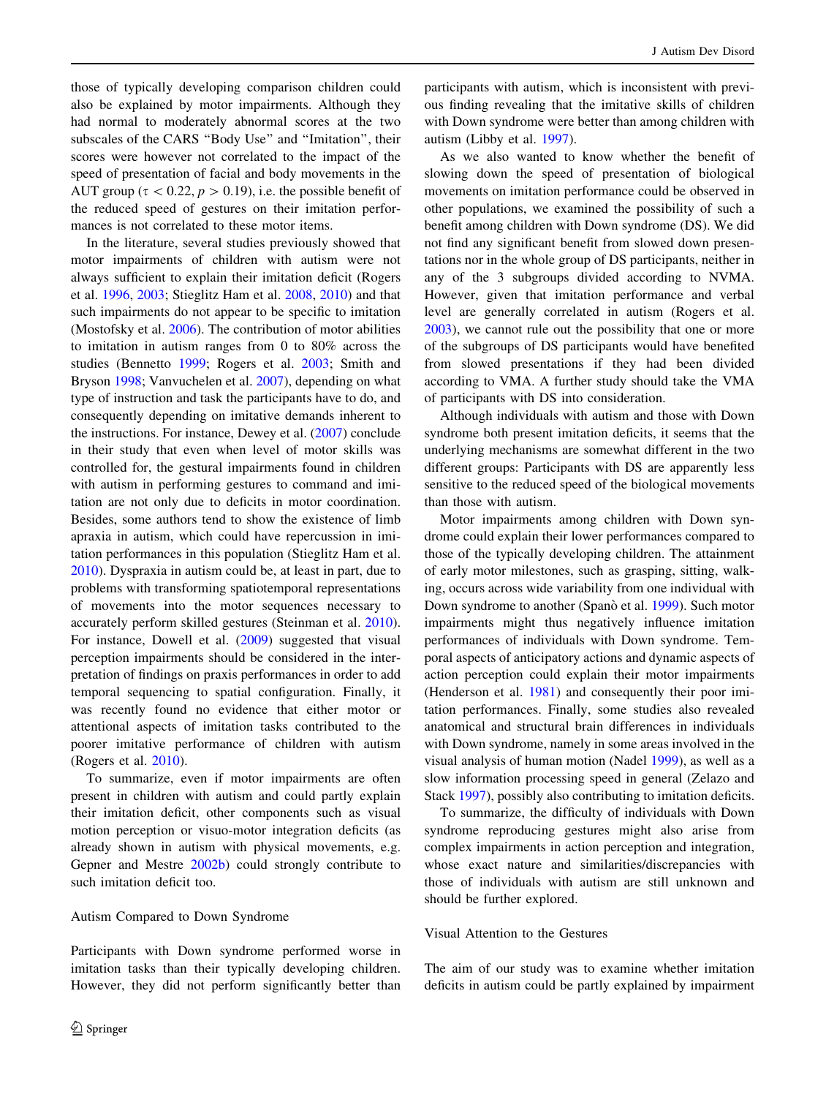those of typically developing comparison children could also be explained by motor impairments. Although they had normal to moderately abnormal scores at the two subscales of the CARS "Body Use" and "Imitation", their scores were however not correlated to the impact of the speed of presentation of facial and body movements in the AUT group ( $\tau < 0.22$ ,  $p > 0.19$ ), i.e. the possible benefit of the reduced speed of gestures on their imitation performances is not correlated to these motor items.

In the literature, several studies previously showed that motor impairments of children with autism were not always sufficient to explain their imitation deficit (Rogers et al. [1996,](#page-12-0) [2003;](#page-12-0) Stieglitz Ham et al. [2008](#page-13-0), [2010\)](#page-13-0) and that such impairments do not appear to be specific to imitation (Mostofsky et al. [2006\)](#page-12-0). The contribution of motor abilities to imitation in autism ranges from 0 to 80% across the studies (Bennetto [1999;](#page-11-0) Rogers et al. [2003;](#page-12-0) Smith and Bryson [1998](#page-13-0); Vanvuchelen et al. [2007\)](#page-13-0), depending on what type of instruction and task the participants have to do, and consequently depending on imitative demands inherent to the instructions. For instance, Dewey et al. [\(2007](#page-11-0)) conclude in their study that even when level of motor skills was controlled for, the gestural impairments found in children with autism in performing gestures to command and imitation are not only due to deficits in motor coordination. Besides, some authors tend to show the existence of limb apraxia in autism, which could have repercussion in imitation performances in this population (Stieglitz Ham et al. [2010\)](#page-13-0). Dyspraxia in autism could be, at least in part, due to problems with transforming spatiotemporal representations of movements into the motor sequences necessary to accurately perform skilled gestures (Steinman et al. [2010](#page-13-0)). For instance, Dowell et al. [\(2009](#page-11-0)) suggested that visual perception impairments should be considered in the interpretation of findings on praxis performances in order to add temporal sequencing to spatial configuration. Finally, it was recently found no evidence that either motor or attentional aspects of imitation tasks contributed to the poorer imitative performance of children with autism (Rogers et al. [2010\)](#page-13-0).

To summarize, even if motor impairments are often present in children with autism and could partly explain their imitation deficit, other components such as visual motion perception or visuo-motor integration deficits (as already shown in autism with physical movements, e.g. Gepner and Mestre [2002b](#page-11-0)) could strongly contribute to such imitation deficit too.

#### Autism Compared to Down Syndrome

Participants with Down syndrome performed worse in imitation tasks than their typically developing children. However, they did not perform significantly better than

participants with autism, which is inconsistent with previous finding revealing that the imitative skills of children with Down syndrome were better than among children with autism (Libby et al. [1997](#page-12-0)).

As we also wanted to know whether the benefit of slowing down the speed of presentation of biological movements on imitation performance could be observed in other populations, we examined the possibility of such a benefit among children with Down syndrome (DS). We did not find any significant benefit from slowed down presentations nor in the whole group of DS participants, neither in any of the 3 subgroups divided according to NVMA. However, given that imitation performance and verbal level are generally correlated in autism (Rogers et al. [2003](#page-12-0)), we cannot rule out the possibility that one or more of the subgroups of DS participants would have benefited from slowed presentations if they had been divided according to VMA. A further study should take the VMA of participants with DS into consideration.

Although individuals with autism and those with Down syndrome both present imitation deficits, it seems that the underlying mechanisms are somewhat different in the two different groups: Participants with DS are apparently less sensitive to the reduced speed of the biological movements than those with autism.

Motor impairments among children with Down syndrome could explain their lower performances compared to those of the typically developing children. The attainment of early motor milestones, such as grasping, sitting, walking, occurs across wide variability from one individual with Down syndrome to another (Spanò et al. [1999\)](#page-13-0). Such motor impairments might thus negatively influence imitation performances of individuals with Down syndrome. Temporal aspects of anticipatory actions and dynamic aspects of action perception could explain their motor impairments (Henderson et al. [1981](#page-12-0)) and consequently their poor imitation performances. Finally, some studies also revealed anatomical and structural brain differences in individuals with Down syndrome, namely in some areas involved in the visual analysis of human motion (Nadel [1999](#page-12-0)), as well as a slow information processing speed in general (Zelazo and Stack [1997\)](#page-13-0), possibly also contributing to imitation deficits.

To summarize, the difficulty of individuals with Down syndrome reproducing gestures might also arise from complex impairments in action perception and integration, whose exact nature and similarities/discrepancies with those of individuals with autism are still unknown and should be further explored.

# Visual Attention to the Gestures

The aim of our study was to examine whether imitation deficits in autism could be partly explained by impairment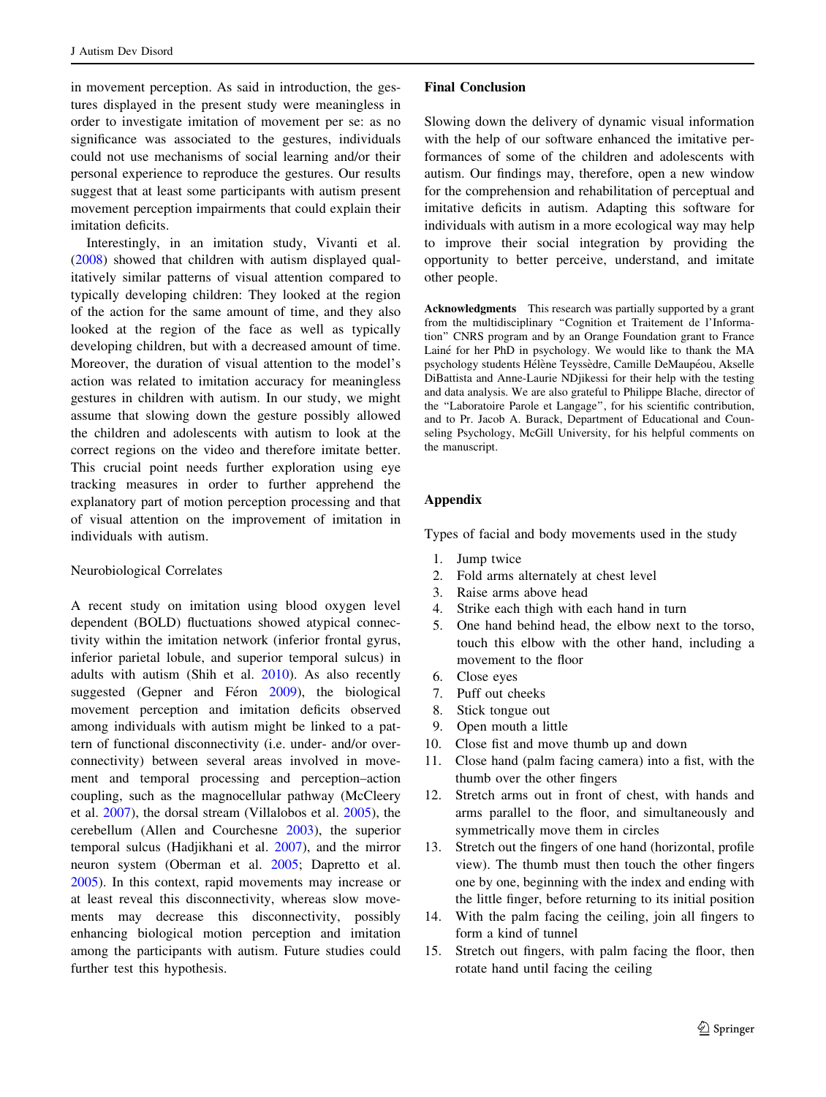<span id="page-10-0"></span>in movement perception. As said in introduction, the gestures displayed in the present study were meaningless in order to investigate imitation of movement per se: as no significance was associated to the gestures, individuals could not use mechanisms of social learning and/or their personal experience to reproduce the gestures. Our results suggest that at least some participants with autism present movement perception impairments that could explain their imitation deficits.

Interestingly, in an imitation study, Vivanti et al. [\(2008](#page-13-0)) showed that children with autism displayed qualitatively similar patterns of visual attention compared to typically developing children: They looked at the region of the action for the same amount of time, and they also looked at the region of the face as well as typically developing children, but with a decreased amount of time. Moreover, the duration of visual attention to the model's action was related to imitation accuracy for meaningless gestures in children with autism. In our study, we might assume that slowing down the gesture possibly allowed the children and adolescents with autism to look at the correct regions on the video and therefore imitate better. This crucial point needs further exploration using eye tracking measures in order to further apprehend the explanatory part of motion perception processing and that of visual attention on the improvement of imitation in individuals with autism.

## Neurobiological Correlates

A recent study on imitation using blood oxygen level dependent (BOLD) fluctuations showed atypical connectivity within the imitation network (inferior frontal gyrus, inferior parietal lobule, and superior temporal sulcus) in adults with autism (Shih et al. [2010\)](#page-13-0). As also recently suggested (Gepner and Féron  $2009$ ), the biological movement perception and imitation deficits observed among individuals with autism might be linked to a pattern of functional disconnectivity (i.e. under- and/or overconnectivity) between several areas involved in movement and temporal processing and perception–action coupling, such as the magnocellular pathway (McCleery et al. [2007](#page-12-0)), the dorsal stream (Villalobos et al. [2005\)](#page-13-0), the cerebellum (Allen and Courchesne [2003](#page-11-0)), the superior temporal sulcus (Hadjikhani et al. [2007](#page-12-0)), and the mirror neuron system (Oberman et al. [2005](#page-12-0); Dapretto et al. [2005\)](#page-11-0). In this context, rapid movements may increase or at least reveal this disconnectivity, whereas slow movements may decrease this disconnectivity, possibly enhancing biological motion perception and imitation among the participants with autism. Future studies could further test this hypothesis.

#### Final Conclusion

Slowing down the delivery of dynamic visual information with the help of our software enhanced the imitative performances of some of the children and adolescents with autism. Our findings may, therefore, open a new window for the comprehension and rehabilitation of perceptual and imitative deficits in autism. Adapting this software for individuals with autism in a more ecological way may help to improve their social integration by providing the opportunity to better perceive, understand, and imitate other people.

Acknowledgments This research was partially supported by a grant from the multidisciplinary ''Cognition et Traitement de l'Information'' CNRS program and by an Orange Foundation grant to France Lainé for her PhD in psychology. We would like to thank the MA psychology students Hélène Teyssèdre, Camille DeMaupéou, Akselle DiBattista and Anne-Laurie NDjikessi for their help with the testing and data analysis. We are also grateful to Philippe Blache, director of the ''Laboratoire Parole et Langage'', for his scientific contribution, and to Pr. Jacob A. Burack, Department of Educational and Counseling Psychology, McGill University, for his helpful comments on the manuscript.

# Appendix

Types of facial and body movements used in the study

- 1. Jump twice
- 2. Fold arms alternately at chest level
- 3. Raise arms above head
- 4. Strike each thigh with each hand in turn
- 5. One hand behind head, the elbow next to the torso, touch this elbow with the other hand, including a movement to the floor
- 6. Close eyes
- 7. Puff out cheeks
- 8. Stick tongue out
- 9. Open mouth a little
- 10. Close fist and move thumb up and down
- 11. Close hand (palm facing camera) into a fist, with the thumb over the other fingers
- 12. Stretch arms out in front of chest, with hands and arms parallel to the floor, and simultaneously and symmetrically move them in circles
- 13. Stretch out the fingers of one hand (horizontal, profile view). The thumb must then touch the other fingers one by one, beginning with the index and ending with the little finger, before returning to its initial position
- 14. With the palm facing the ceiling, join all fingers to form a kind of tunnel
- 15. Stretch out fingers, with palm facing the floor, then rotate hand until facing the ceiling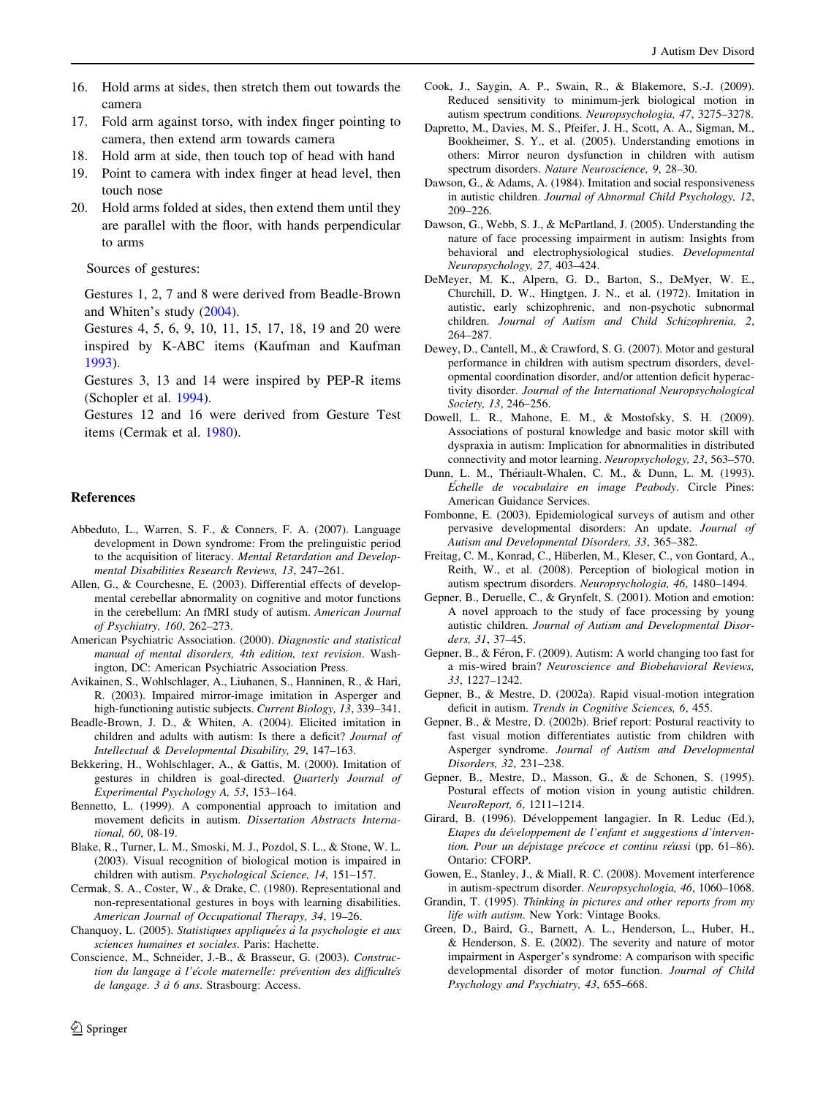- <span id="page-11-0"></span>16. Hold arms at sides, then stretch them out towards the camera
- 17. Fold arm against torso, with index finger pointing to camera, then extend arm towards camera
- 18. Hold arm at side, then touch top of head with hand
- 19. Point to camera with index finger at head level, then touch nose
- 20. Hold arms folded at sides, then extend them until they are parallel with the floor, with hands perpendicular to arms

Sources of gestures:

Gestures 1, 2, 7 and 8 were derived from Beadle-Brown and Whiten's study (2004).

Gestures 4, 5, 6, 9, 10, 11, 15, 17, 18, 19 and 20 were inspired by K-ABC items (Kaufman and Kaufman [1993\)](#page-12-0).

Gestures 3, 13 and 14 were inspired by PEP-R items (Schopler et al. [1994\)](#page-13-0).

Gestures 12 and 16 were derived from Gesture Test items (Cermak et al. 1980).

## References

- Abbeduto, L., Warren, S. F., & Conners, F. A. (2007). Language development in Down syndrome: From the prelinguistic period to the acquisition of literacy. Mental Retardation and Developmental Disabilities Research Reviews, 13, 247–261.
- Allen, G., & Courchesne, E. (2003). Differential effects of developmental cerebellar abnormality on cognitive and motor functions in the cerebellum: An fMRI study of autism. American Journal of Psychiatry, 160, 262–273.
- American Psychiatric Association. (2000). Diagnostic and statistical manual of mental disorders, 4th edition, text revision. Washington, DC: American Psychiatric Association Press.
- Avikainen, S., Wohlschlager, A., Liuhanen, S., Hanninen, R., & Hari, R. (2003). Impaired mirror-image imitation in Asperger and high-functioning autistic subjects. Current Biology, 13, 339–341.
- Beadle-Brown, J. D., & Whiten, A. (2004). Elicited imitation in children and adults with autism: Is there a deficit? Journal of Intellectual & Developmental Disability, 29, 147–163.
- Bekkering, H., Wohlschlager, A., & Gattis, M. (2000). Imitation of gestures in children is goal-directed. Quarterly Journal of Experimental Psychology A, 53, 153–164.
- Bennetto, L. (1999). A componential approach to imitation and movement deficits in autism. Dissertation Abstracts International, 60, 08-19.
- Blake, R., Turner, L. M., Smoski, M. J., Pozdol, S. L., & Stone, W. L. (2003). Visual recognition of biological motion is impaired in children with autism. Psychological Science, 14, 151–157.
- Cermak, S. A., Coster, W., & Drake, C. (1980). Representational and non-representational gestures in boys with learning disabilities. American Journal of Occupational Therapy, 34, 19–26.
- Chanquoy, L. (2005). Statistiques appliquées à la psychologie et aux sciences humaines et sociales. Paris: Hachette.
- Conscience, M., Schneider, J.-B., & Brasseur, G. (2003). Construction du langage à l'école maternelle: prévention des difficultés de langage. 3 à 6 ans. Strasbourg: Access.
- Cook, J., Saygin, A. P., Swain, R., & Blakemore, S.-J. (2009). Reduced sensitivity to minimum-jerk biological motion in autism spectrum conditions. Neuropsychologia, 47, 3275–3278.
- Dapretto, M., Davies, M. S., Pfeifer, J. H., Scott, A. A., Sigman, M., Bookheimer, S. Y., et al. (2005). Understanding emotions in others: Mirror neuron dysfunction in children with autism spectrum disorders. Nature Neuroscience, 9, 28–30.
- Dawson, G., & Adams, A. (1984). Imitation and social responsiveness in autistic children. Journal of Abnormal Child Psychology, 12, 209–226.
- Dawson, G., Webb, S. J., & McPartland, J. (2005). Understanding the nature of face processing impairment in autism: Insights from behavioral and electrophysiological studies. Developmental Neuropsychology, 27, 403–424.
- DeMeyer, M. K., Alpern, G. D., Barton, S., DeMyer, W. E., Churchill, D. W., Hingtgen, J. N., et al. (1972). Imitation in autistic, early schizophrenic, and non-psychotic subnormal children. Journal of Autism and Child Schizophrenia, 2, 264–287.
- Dewey, D., Cantell, M., & Crawford, S. G. (2007). Motor and gestural performance in children with autism spectrum disorders, developmental coordination disorder, and/or attention deficit hyperactivity disorder. Journal of the International Neuropsychological Society, 13, 246–256.
- Dowell, L. R., Mahone, E. M., & Mostofsky, S. H. (2009). Associations of postural knowledge and basic motor skill with dyspraxia in autism: Implication for abnormalities in distributed connectivity and motor learning. Neuropsychology, 23, 563–570.
- Dunn, L. M., Thériault-Whalen, C. M., & Dunn, L. M. (1993). E´chelle de vocabulaire en image Peabody. Circle Pines: American Guidance Services.
- Fombonne, E. (2003). Epidemiological surveys of autism and other pervasive developmental disorders: An update. Journal of Autism and Developmental Disorders, 33, 365–382.
- Freitag, C. M., Konrad, C., Häberlen, M., Kleser, C., von Gontard, A., Reith, W., et al. (2008). Perception of biological motion in autism spectrum disorders. Neuropsychologia, 46, 1480–1494.
- Gepner, B., Deruelle, C., & Grynfelt, S. (2001). Motion and emotion: A novel approach to the study of face processing by young autistic children. Journal of Autism and Developmental Disorders, 31, 37–45.
- Gepner, B., & Féron, F. (2009). Autism: A world changing too fast for a mis-wired brain? Neuroscience and Biobehavioral Reviews, 33, 1227–1242.
- Gepner, B., & Mestre, D. (2002a). Rapid visual-motion integration deficit in autism. Trends in Cognitive Sciences, 6, 455.
- Gepner, B., & Mestre, D. (2002b). Brief report: Postural reactivity to fast visual motion differentiates autistic from children with Asperger syndrome. Journal of Autism and Developmental Disorders, 32, 231–238.
- Gepner, B., Mestre, D., Masson, G., & de Schonen, S. (1995). Postural effects of motion vision in young autistic children. NeuroReport, 6, 1211–1214.
- Girard, B. (1996). Développement langagier. In R. Leduc (Ed.), Etapes du de´veloppement de l'enfant et suggestions d'intervention. Pour un dépistage précoce et continu réussi (pp. 61–86). Ontario: CFORP.
- Gowen, E., Stanley, J., & Miall, R. C. (2008). Movement interference in autism-spectrum disorder. Neuropsychologia, 46, 1060–1068.
- Grandin, T. (1995). Thinking in pictures and other reports from my life with autism. New York: Vintage Books.
- Green, D., Baird, G., Barnett, A. L., Henderson, L., Huber, H., & Henderson, S. E. (2002). The severity and nature of motor impairment in Asperger's syndrome: A comparison with specific developmental disorder of motor function. Journal of Child Psychology and Psychiatry, 43, 655–668.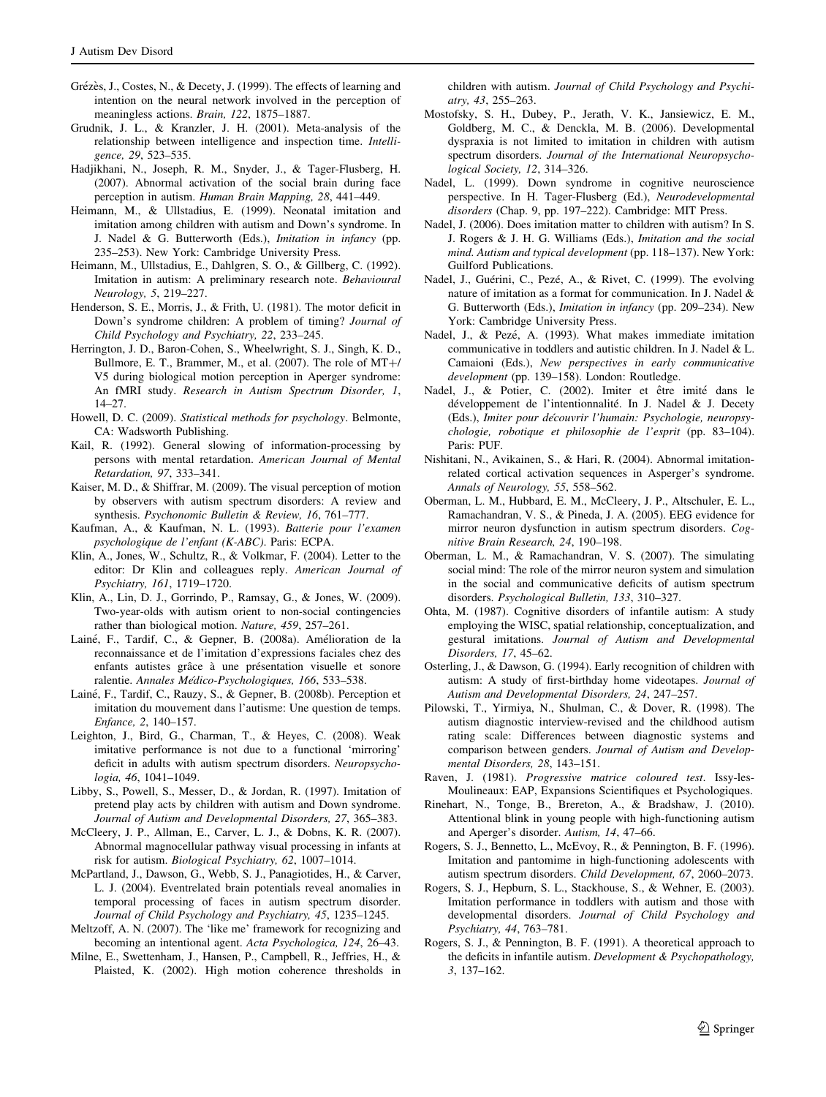- <span id="page-12-0"></span>Grézès, J., Costes, N., & Decety, J. (1999). The effects of learning and intention on the neural network involved in the perception of meaningless actions. Brain, 122, 1875–1887.
- Grudnik, J. L., & Kranzler, J. H. (2001). Meta-analysis of the relationship between intelligence and inspection time. Intelligence, 29, 523–535.
- Hadjikhani, N., Joseph, R. M., Snyder, J., & Tager-Flusberg, H. (2007). Abnormal activation of the social brain during face perception in autism. Human Brain Mapping, 28, 441–449.
- Heimann, M., & Ullstadius, E. (1999). Neonatal imitation and imitation among children with autism and Down's syndrome. In J. Nadel & G. Butterworth (Eds.), Imitation in infancy (pp. 235–253). New York: Cambridge University Press.
- Heimann, M., Ullstadius, E., Dahlgren, S. O., & Gillberg, C. (1992). Imitation in autism: A preliminary research note. Behavioural Neurology, 5, 219–227.
- Henderson, S. E., Morris, J., & Frith, U. (1981). The motor deficit in Down's syndrome children: A problem of timing? Journal of Child Psychology and Psychiatry, 22, 233–245.
- Herrington, J. D., Baron-Cohen, S., Wheelwright, S. J., Singh, K. D., Bullmore, E. T., Brammer, M., et al.  $(2007)$ . The role of MT+/ V5 during biological motion perception in Aperger syndrome: An fMRI study. Research in Autism Spectrum Disorder, 1, 14–27.
- Howell, D. C. (2009). Statistical methods for psychology. Belmonte, CA: Wadsworth Publishing.
- Kail, R. (1992). General slowing of information-processing by persons with mental retardation. American Journal of Mental Retardation, 97, 333–341.
- Kaiser, M. D., & Shiffrar, M. (2009). The visual perception of motion by observers with autism spectrum disorders: A review and synthesis. Psychonomic Bulletin & Review, 16, 761–777.
- Kaufman, A., & Kaufman, N. L. (1993). Batterie pour l'examen psychologique de l'enfant (K-ABC). Paris: ECPA.
- Klin, A., Jones, W., Schultz, R., & Volkmar, F. (2004). Letter to the editor: Dr Klin and colleagues reply. American Journal of Psychiatry, 161, 1719–1720.
- Klin, A., Lin, D. J., Gorrindo, P., Ramsay, G., & Jones, W. (2009). Two-year-olds with autism orient to non-social contingencies rather than biological motion. Nature, 459, 257–261.
- Lainé, F., Tardif, C., & Gepner, B. (2008a). Amélioration de la reconnaissance et de l'imitation d'expressions faciales chez des enfants autistes grâce à une présentation visuelle et sonore ralentie. Annales Médico-Psychologiques, 166, 533-538.
- Lainé, F., Tardif, C., Rauzy, S., & Gepner, B. (2008b). Perception et imitation du mouvement dans l'autisme: Une question de temps. Enfance, 2, 140–157.
- Leighton, J., Bird, G., Charman, T., & Heyes, C. (2008). Weak imitative performance is not due to a functional 'mirroring' deficit in adults with autism spectrum disorders. Neuropsychologia, 46, 1041–1049.
- Libby, S., Powell, S., Messer, D., & Jordan, R. (1997). Imitation of pretend play acts by children with autism and Down syndrome. Journal of Autism and Developmental Disorders, 27, 365–383.
- McCleery, J. P., Allman, E., Carver, L. J., & Dobns, K. R. (2007). Abnormal magnocellular pathway visual processing in infants at risk for autism. Biological Psychiatry, 62, 1007–1014.
- McPartland, J., Dawson, G., Webb, S. J., Panagiotides, H., & Carver, L. J. (2004). Eventrelated brain potentials reveal anomalies in temporal processing of faces in autism spectrum disorder. Journal of Child Psychology and Psychiatry, 45, 1235–1245.
- Meltzoff, A. N. (2007). The 'like me' framework for recognizing and becoming an intentional agent. Acta Psychologica, 124, 26–43.
- Milne, E., Swettenham, J., Hansen, P., Campbell, R., Jeffries, H., & Plaisted, K. (2002). High motion coherence thresholds in

children with autism. Journal of Child Psychology and Psychiatry, 43, 255–263.

- Mostofsky, S. H., Dubey, P., Jerath, V. K., Jansiewicz, E. M., Goldberg, M. C., & Denckla, M. B. (2006). Developmental dyspraxia is not limited to imitation in children with autism spectrum disorders. Journal of the International Neuropsychological Society, 12, 314–326.
- Nadel, L. (1999). Down syndrome in cognitive neuroscience perspective. In H. Tager-Flusberg (Ed.), Neurodevelopmental disorders (Chap. 9, pp. 197–222). Cambridge: MIT Press.
- Nadel, J. (2006). Does imitation matter to children with autism? In S. J. Rogers & J. H. G. Williams (Eds.), Imitation and the social mind. Autism and typical development (pp. 118–137). New York: Guilford Publications.
- Nadel, J., Guérini, C., Pezé, A., & Rivet, C. (1999). The evolving nature of imitation as a format for communication. In J. Nadel & G. Butterworth (Eds.), Imitation in infancy (pp. 209–234). New York: Cambridge University Press.
- Nadel, J., & Pezé, A. (1993). What makes immediate imitation communicative in toddlers and autistic children. In J. Nadel & L. Camaioni (Eds.), New perspectives in early communicative development (pp. 139–158). London: Routledge.
- Nadel, J., & Potier, C. (2002). Imiter et être imité dans le développement de l'intentionnalité. In J. Nadel & J. Decety (Eds.), Imiter pour découvrir l'humain: Psychologie, neuropsychologie, robotique et philosophie de l'esprit (pp. 83–104). Paris: PUF.
- Nishitani, N., Avikainen, S., & Hari, R. (2004). Abnormal imitationrelated cortical activation sequences in Asperger's syndrome. Annals of Neurology, 55, 558–562.
- Oberman, L. M., Hubbard, E. M., McCleery, J. P., Altschuler, E. L., Ramachandran, V. S., & Pineda, J. A. (2005). EEG evidence for mirror neuron dysfunction in autism spectrum disorders. Cognitive Brain Research, 24, 190–198.
- Oberman, L. M., & Ramachandran, V. S. (2007). The simulating social mind: The role of the mirror neuron system and simulation in the social and communicative deficits of autism spectrum disorders. Psychological Bulletin, 133, 310–327.
- Ohta, M. (1987). Cognitive disorders of infantile autism: A study employing the WISC, spatial relationship, conceptualization, and gestural imitations. Journal of Autism and Developmental Disorders, 17, 45–62.
- Osterling, J., & Dawson, G. (1994). Early recognition of children with autism: A study of first-birthday home videotapes. Journal of Autism and Developmental Disorders, 24, 247–257.
- Pilowski, T., Yirmiya, N., Shulman, C., & Dover, R. (1998). The autism diagnostic interview-revised and the childhood autism rating scale: Differences between diagnostic systems and comparison between genders. Journal of Autism and Developmental Disorders, 28, 143–151.
- Raven, J. (1981). Progressive matrice coloured test. Issy-les-Moulineaux: EAP, Expansions Scientifiques et Psychologiques.
- Rinehart, N., Tonge, B., Brereton, A., & Bradshaw, J. (2010). Attentional blink in young people with high-functioning autism and Aperger's disorder. Autism, 14, 47–66.
- Rogers, S. J., Bennetto, L., McEvoy, R., & Pennington, B. F. (1996). Imitation and pantomime in high-functioning adolescents with autism spectrum disorders. Child Development, 67, 2060–2073.
- Rogers, S. J., Hepburn, S. L., Stackhouse, S., & Wehner, E. (2003). Imitation performance in toddlers with autism and those with developmental disorders. Journal of Child Psychology and Psychiatry, 44, 763–781.
- Rogers, S. J., & Pennington, B. F. (1991). A theoretical approach to the deficits in infantile autism. Development & Psychopathology, 3, 137–162.